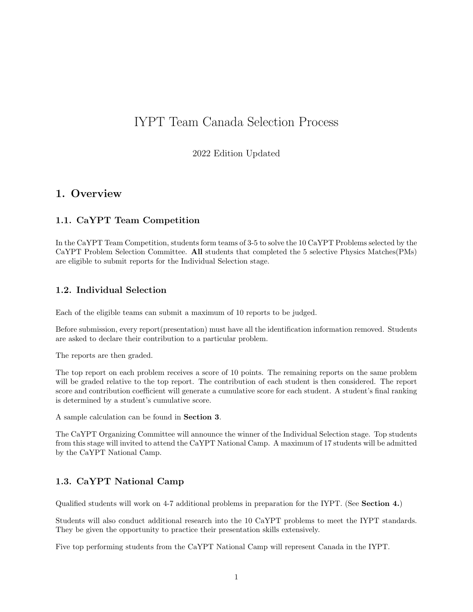# IYPT Team Canada Selection Process

2022 Edition Updated

### 1. Overview

### 1.1. CaYPT Team Competition

In the CaYPT Team Competition, students form teams of 3-5 to solve the 10 CaYPT Problems selected by the CaYPT Problem Selection Committee. All students that completed the 5 selective Physics Matches(PMs) are eligible to submit reports for the Individual Selection stage.

### 1.2. Individual Selection

Each of the eligible teams can submit a maximum of 10 reports to be judged.

Before submission, every report(presentation) must have all the identification information removed. Students are asked to declare their contribution to a particular problem.

The reports are then graded.

The top report on each problem receives a score of 10 points. The remaining reports on the same problem will be graded relative to the top report. The contribution of each student is then considered. The report score and contribution coefficient will generate a cumulative score for each student. A student's final ranking is determined by a student's cumulative score.

A sample calculation can be found in Section 3.

The CaYPT Organizing Committee will announce the winner of the Individual Selection stage. Top students from this stage will invited to attend the CaYPT National Camp. A maximum of 17 students will be admitted by the CaYPT National Camp.

### 1.3. CaYPT National Camp

Qualified students will work on 4-7 additional problems in preparation for the IYPT. (See Section 4.)

Students will also conduct additional research into the 10 CaYPT problems to meet the IYPT standards. They be given the opportunity to practice their presentation skills extensively.

Five top performing students from the CaYPT National Camp will represent Canada in the IYPT.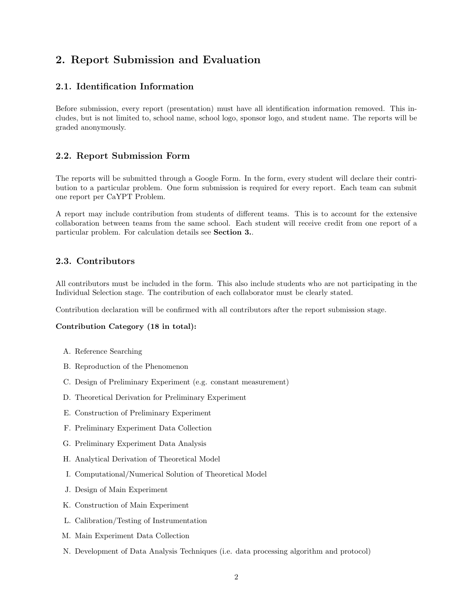# 2. Report Submission and Evaluation

### 2.1. Identification Information

Before submission, every report (presentation) must have all identification information removed. This includes, but is not limited to, school name, school logo, sponsor logo, and student name. The reports will be graded anonymously.

### 2.2. Report Submission Form

The reports will be submitted through a Google Form. In the form, every student will declare their contribution to a particular problem. One form submission is required for every report. Each team can submit one report per CaYPT Problem.

A report may include contribution from students of different teams. This is to account for the extensive collaboration between teams from the same school. Each student will receive credit from one report of a particular problem. For calculation details see Section 3..

### 2.3. Contributors

All contributors must be included in the form. This also include students who are not participating in the Individual Selection stage. The contribution of each collaborator must be clearly stated.

Contribution declaration will be confirmed with all contributors after the report submission stage.

#### Contribution Category (18 in total):

- A. Reference Searching
- B. Reproduction of the Phenomenon
- C. Design of Preliminary Experiment (e.g. constant measurement)
- D. Theoretical Derivation for Preliminary Experiment
- E. Construction of Preliminary Experiment
- F. Preliminary Experiment Data Collection
- G. Preliminary Experiment Data Analysis
- H. Analytical Derivation of Theoretical Model
- I. Computational/Numerical Solution of Theoretical Model
- J. Design of Main Experiment
- K. Construction of Main Experiment
- L. Calibration/Testing of Instrumentation
- M. Main Experiment Data Collection
- N. Development of Data Analysis Techniques (i.e. data processing algorithm and protocol)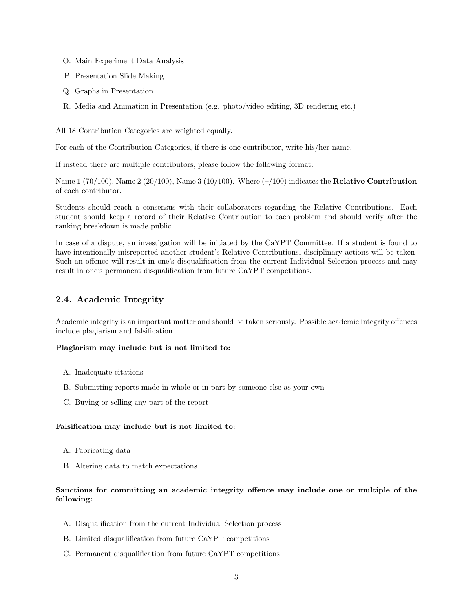- O. Main Experiment Data Analysis
- P. Presentation Slide Making
- Q. Graphs in Presentation
- R. Media and Animation in Presentation (e.g. photo/video editing, 3D rendering etc.)

All 18 Contribution Categories are weighted equally.

For each of the Contribution Categories, if there is one contributor, write his/her name.

If instead there are multiple contributors, please follow the following format:

Name  $1 (70/100)$ , Name  $2 (20/100)$ , Name  $3 (10/100)$ . Where  $(-/100)$  indicates the **Relative Contribution** of each contributor.

Students should reach a consensus with their collaborators regarding the Relative Contributions. Each student should keep a record of their Relative Contribution to each problem and should verify after the ranking breakdown is made public.

In case of a dispute, an investigation will be initiated by the CaYPT Committee. If a student is found to have intentionally misreported another student's Relative Contributions, disciplinary actions will be taken. Such an offence will result in one's disqualification from the current Individual Selection process and may result in one's permanent disqualification from future CaYPT competitions.

### 2.4. Academic Integrity

Academic integrity is an important matter and should be taken seriously. Possible academic integrity offences include plagiarism and falsification.

#### Plagiarism may include but is not limited to:

- A. Inadequate citations
- B. Submitting reports made in whole or in part by someone else as your own
- C. Buying or selling any part of the report

#### Falsification may include but is not limited to:

- A. Fabricating data
- B. Altering data to match expectations

### Sanctions for committing an academic integrity offence may include one or multiple of the following:

- A. Disqualification from the current Individual Selection process
- B. Limited disqualification from future CaYPT competitions
- C. Permanent disqualification from future CaYPT competitions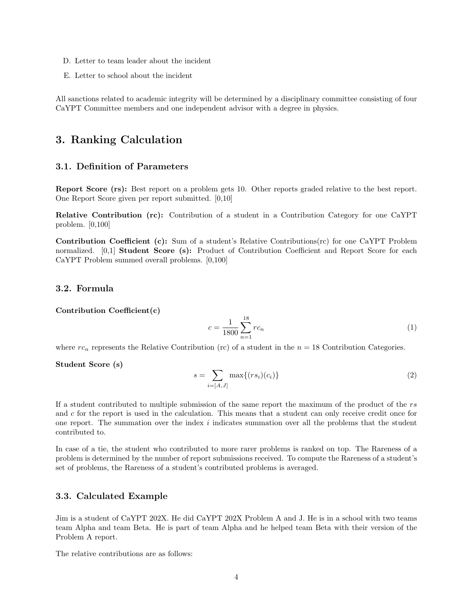- D. Letter to team leader about the incident
- E. Letter to school about the incident

All sanctions related to academic integrity will be determined by a disciplinary committee consisting of four CaYPT Committee members and one independent advisor with a degree in physics.

### 3. Ranking Calculation

#### 3.1. Definition of Parameters

Report Score (rs): Best report on a problem gets 10. Other reports graded relative to the best report. One Report Score given per report submitted. [0,10]

Relative Contribution (rc): Contribution of a student in a Contribution Category for one CaYPT problem. [0,100]

Contribution Coefficient (c): Sum of a student's Relative Contributions(rc) for one CaYPT Problem normalized. [0,1] **Student Score (s):** Product of Contribution Coefficient and Report Score for each CaYPT Problem summed overall problems. [0,100]

### 3.2. Formula

Contribution Coefficient(c)

$$
c = \frac{1}{1800} \sum_{n=1}^{18} r c_n \tag{1}
$$

where  $rc_n$  represents the Relative Contribution (rc) of a student in the  $n = 18$  Contribution Categories.

Student Score (s)

$$
s = \sum_{i=[A,J]} \max\{(rs_i)(c_i)\}\tag{2}
$$

If a student contributed to multiple submission of the same report the maximum of the product of the rs and c for the report is used in the calculation. This means that a student can only receive credit once for one report. The summation over the index  $i$  indicates summation over all the problems that the student contributed to.

In case of a tie, the student who contributed to more rarer problems is ranked on top. The Rareness of a problem is determined by the number of report submissions received. To compute the Rareness of a student's set of problems, the Rareness of a student's contributed problems is averaged.

#### 3.3. Calculated Example

Jim is a student of CaYPT 202X. He did CaYPT 202X Problem A and J. He is in a school with two teams team Alpha and team Beta. He is part of team Alpha and he helped team Beta with their version of the Problem A report.

The relative contributions are as follows: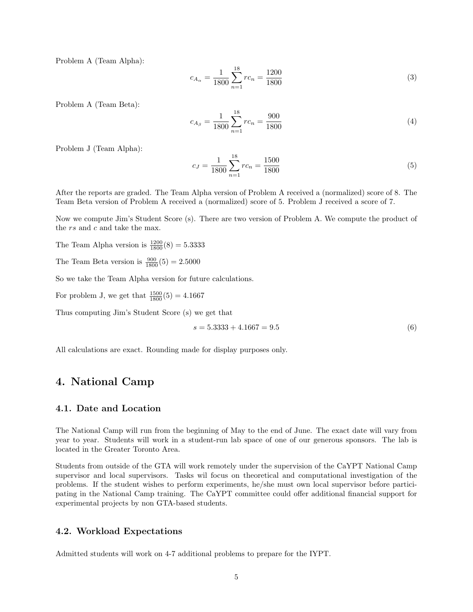Problem A (Team Alpha):

$$
c_{A_{\alpha}} = \frac{1}{1800} \sum_{n=1}^{18} rc_n = \frac{1200}{1800}
$$
\n(3)

Problem A (Team Beta):

$$
c_{A_{\beta}} = \frac{1}{1800} \sum_{n=1}^{18} rc_n = \frac{900}{1800}
$$
 (4)

Problem J (Team Alpha):

$$
c_J = \frac{1}{1800} \sum_{n=1}^{18} rc_n = \frac{1500}{1800}
$$
\n
$$
(5)
$$

After the reports are graded. The Team Alpha version of Problem A received a (normalized) score of 8. The Team Beta version of Problem A received a (normalized) score of 5. Problem J received a score of 7.

Now we compute Jim's Student Score (s). There are two version of Problem A. We compute the product of the *rs* and *c* and take the max.

The Team Alpha version is  $\frac{1200}{1800}(8) = 5.3333$ 

The Team Beta version is  $\frac{900}{1800}(5) = 2.5000$ 

So we take the Team Alpha version for future calculations.

For problem J, we get that  $\frac{1500}{1800}(5) = 4.1667$ 

Thus computing Jim's Student Score (s) we get that

$$
s = 5.3333 + 4.1667 = 9.5\tag{6}
$$

All calculations are exact. Rounding made for display purposes only.

### 4. National Camp

### 4.1. Date and Location

The National Camp will run from the beginning of May to the end of June. The exact date will vary from year to year. Students will work in a student-run lab space of one of our generous sponsors. The lab is located in the Greater Toronto Area.

Students from outside of the GTA will work remotely under the supervision of the CaYPT National Camp supervisor and local supervisors. Tasks wil focus on theoretical and computational investigation of the problems. If the student wishes to perform experiments, he/she must own local supervisor before participating in the National Camp training. The CaYPT committee could offer additional financial support for experimental projects by non GTA-based students.

#### 4.2. Workload Expectations

Admitted students will work on 4-7 additional problems to prepare for the IYPT.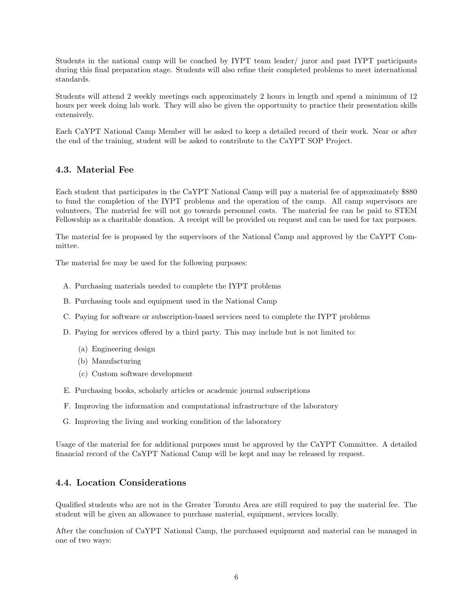Students in the national camp will be coached by IYPT team leader/ juror and past IYPT participants during this final preparation stage. Students will also refine their completed problems to meet international standards.

Students will attend 2 weekly meetings each approximately 2 hours in length and spend a minimum of 12 hours per week doing lab work. They will also be given the opportunity to practice their presentation skills extensively.

Each CaYPT National Camp Member will be asked to keep a detailed record of their work. Near or after the end of the training, student will be asked to contribute to the CaYPT SOP Project.

### 4.3. Material Fee

Each student that participates in the CaYPT National Camp will pay a material fee of approximately \$880 to fund the completion of the IYPT problems and the operation of the camp. All camp supervisors are volunteers, The material fee will not go towards personnel costs. The material fee can be paid to STEM Fellowship as a charitable donation. A receipt will be provided on request and can be used for tax purposes.

The material fee is proposed by the supervisors of the National Camp and approved by the CaYPT Committee.

The material fee may be used for the following purposes:

- A. Purchasing materials needed to complete the IYPT problems
- B. Purchasing tools and equipment used in the National Camp
- C. Paying for software or subscription-based services need to complete the IYPT problems
- D. Paying for services offered by a third party. This may include but is not limited to:
	- (a) Engineering design
	- (b) Manufacturing
	- (c) Custom software development
- E. Purchasing books, scholarly articles or academic journal subscriptions
- F. Improving the information and computational infrastructure of the laboratory
- G. Improving the living and working condition of the laboratory

Usage of the material fee for additional purposes must be approved by the CaYPT Committee. A detailed financial record of the CaYPT National Camp will be kept and may be released by request.

### 4.4. Location Considerations

Qualified students who are not in the Greater Toronto Area are still required to pay the material fee. The student will be given an allowance to purchase material, equipment, services locally.

After the conclusion of CaYPT National Camp, the purchased equipment and material can be managed in one of two ways: